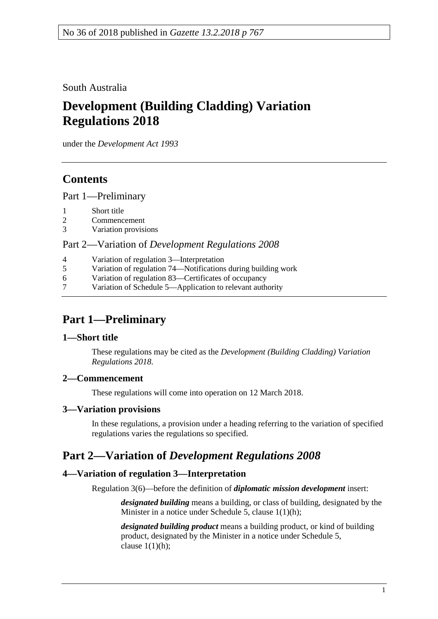South Australia

# **Development (Building Cladding) Variation Regulations 2018**

under the *Development Act 1993*

## **Contents**

Part [1—Preliminary](#page-0-0)

- 2 [Commencement](#page-0-2)<br>3 Variation provis
- [Variation provisions](#page-0-3)

### Part 2—Variation of *[Development Regulations](#page-0-4) 2008*

| 4<br>Variation of regulation 3—Interpretation |  |
|-----------------------------------------------|--|
|-----------------------------------------------|--|

- 5 [Variation of regulation 74—Notifications during building work](#page-1-0)<br>6 Variation of regulation 83—Certificates of occupancy
- 6 [Variation of regulation 83—Certificates of occupancy](#page-1-1)
- [Variation of Schedule 5—Application to relevant authority](#page-1-2)

# <span id="page-0-0"></span>**Part 1—Preliminary**

### <span id="page-0-1"></span>**1—Short title**

These regulations may be cited as the *Development (Building Cladding) Variation Regulations 2018*.

### <span id="page-0-2"></span>**2—Commencement**

These regulations will come into operation on 12 March 2018.

### <span id="page-0-3"></span>**3—Variation provisions**

In these regulations, a provision under a heading referring to the variation of specified regulations varies the regulations so specified.

### <span id="page-0-4"></span>**Part 2—Variation of** *Development Regulations 2008*

### <span id="page-0-5"></span>**4—Variation of regulation 3—Interpretation**

Regulation 3(6)—before the definition of *diplomatic mission development* insert:

*designated building* means a building, or class of building, designated by the Minister in a notice under Schedule 5, clause 1(1)(h);

*designated building product* means a building product, or kind of building product, designated by the Minister in a notice under Schedule 5, clause  $1(1)(h)$ ;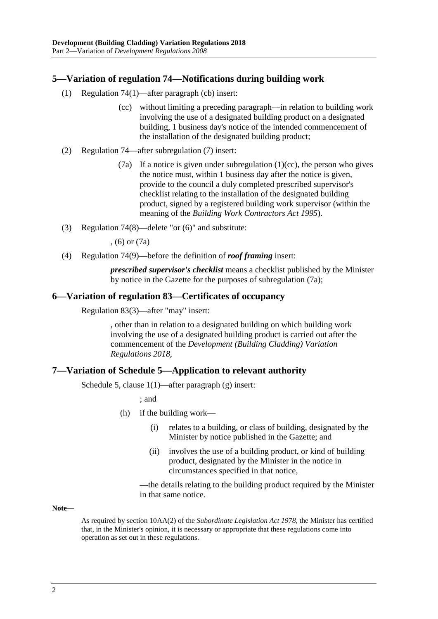### <span id="page-1-0"></span>**5—Variation of regulation 74—Notifications during building work**

- (1) Regulation 74(1)—after paragraph (cb) insert:
	- (cc) without limiting a preceding paragraph—in relation to building work involving the use of a designated building product on a designated building, 1 business day's notice of the intended commencement of the installation of the designated building product;
- (2) Regulation 74—after subregulation (7) insert:
	- (7a) If a notice is given under subregulation  $(1)(cc)$ , the person who gives the notice must, within 1 business day after the notice is given, provide to the council a duly completed prescribed supervisor's checklist relating to the installation of the designated building product, signed by a registered building work supervisor (within the meaning of the *[Building Work Contractors Act](http://www.legislation.sa.gov.au/index.aspx?action=legref&type=act&legtitle=Building%20Work%20Contractors%20Act%201995) 1995*).
- (3) Regulation 74(8)—delete "or (6)" and substitute:

, (6) or (7a)

(4) Regulation 74(9)—before the definition of *roof framing* insert:

*prescribed supervisor's checklist* means a checklist published by the Minister by notice in the Gazette for the purposes of subregulation (7a);

#### <span id="page-1-1"></span>**6—Variation of regulation 83—Certificates of occupancy**

Regulation 83(3)—after "may" insert:

, other than in relation to a designated building on which building work involving the use of a designated building product is carried out after the commencement of the *[Development \(Building Cladding\) Variation](http://www.legislation.sa.gov.au/index.aspx?action=legref&type=subordleg&legtitle=Development%20(Building%20Cladding)%20Variation%20Regulations%202018)  [Regulations](http://www.legislation.sa.gov.au/index.aspx?action=legref&type=subordleg&legtitle=Development%20(Building%20Cladding)%20Variation%20Regulations%202018) 2018*,

### <span id="page-1-2"></span>**7—Variation of Schedule 5—Application to relevant authority**

Schedule 5, clause 1(1)—after paragraph (g) insert:

; and

- (h) if the building work—
	- (i) relates to a building, or class of building, designated by the Minister by notice published in the Gazette; and
	- (ii) involves the use of a building product, or kind of building product, designated by the Minister in the notice in circumstances specified in that notice,

—the details relating to the building product required by the Minister in that same notice.

**Note—**

As required by section 10AA(2) of the *[Subordinate Legislation Act](http://www.legislation.sa.gov.au/index.aspx?action=legref&type=act&legtitle=Subordinate%20Legislation%20Act%201978) 1978*, the Minister has certified that, in the Minister's opinion, it is necessary or appropriate that these regulations come into operation as set out in these regulations.